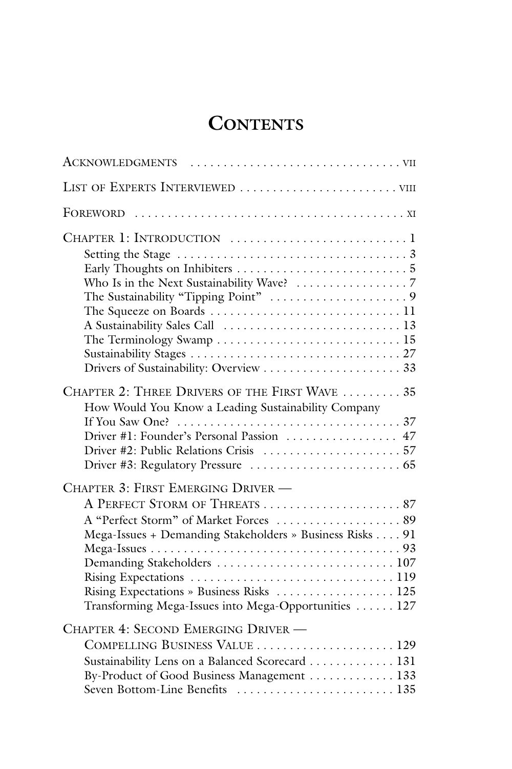## **CONTENTS**

| The Terminology Swamp $\ldots \ldots \ldots \ldots \ldots \ldots \ldots \ldots \ldots 15$                                                                                                                                                                                     |
|-------------------------------------------------------------------------------------------------------------------------------------------------------------------------------------------------------------------------------------------------------------------------------|
| CHAPTER 2: THREE DRIVERS OF THE FIRST WAVE  35<br>How Would You Know a Leading Sustainability Company<br>Driver #1: Founder's Personal Passion  47                                                                                                                            |
| CHAPTER 3: FIRST EMERGING DRIVER -<br>A "Perfect Storm" of Market Forces  89<br>Mega-Issues + Demanding Stakeholders » Business Risks 91<br>Demanding Stakeholders  107<br>Rising Expectations » Business Risks  125<br>Transforming Mega-Issues into Mega-Opportunities  127 |
| CHAPTER 4: SECOND EMERGING DRIVER -<br>COMPELLING BUSINESS VALUE  129<br>Sustainability Lens on a Balanced Scorecard 131<br>By-Product of Good Business Management 133<br>Seven Bottom-Line Benefits  135                                                                     |